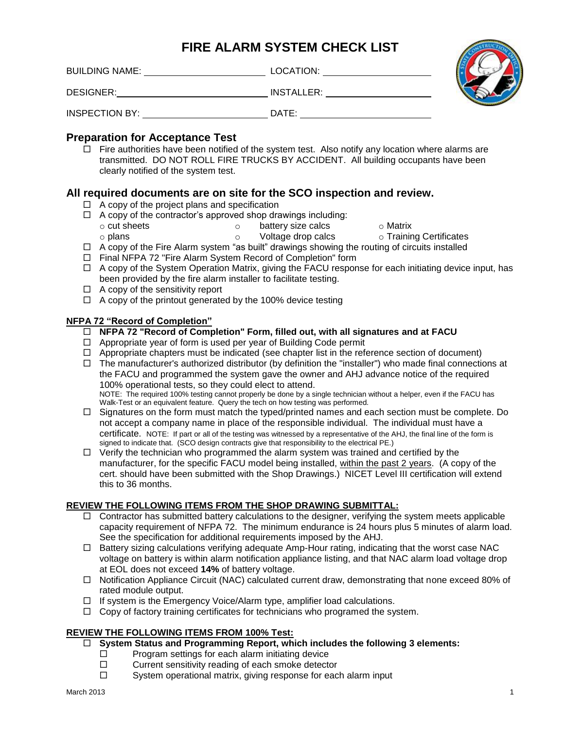# **FIRE ALARM SYSTEM CHECK LIST**

BUILDING NAME: LOCATION:

DESIGNER: INSTALLER:

INSPECTION BY:  $\qquad \qquad$ DATE:  $\qquad \qquad$ DATE:



# **Preparation for Acceptance Test**

 $\Box$  Fire authorities have been notified of the system test. Also notify any location where alarms are transmitted. DO NOT ROLL FIRE TRUCKS BY ACCIDENT. All building occupants have been clearly notified of the system test.

# **All required documents are on site for the SCO inspection and review.**

- $\Box$  A copy of the project plans and specification
- $\Box$  A copy of the contractor's approved shop drawings including:
	- o cut sheets

o plans

- o battery size calcs o Voltage drop calcs
- o Matrix
- o Training Certificates
- $\Box$  A copy of the Fire Alarm system "as built" drawings showing the routing of circuits installed
- □ Final NFPA 72 "Fire Alarm System Record of Completion" form
- □ A copy of the System Operation Matrix, giving the FACU response for each initiating device input, has been provided by the fire alarm installer to facilitate testing.
- $\Box$  A copy of the sensitivity report
- $\Box$  A copy of the printout generated by the 100% device testing

# **NFPA 72 "Record of Completion"**

- **NFPA 72 "Record of Completion" Form, filled out, with all signatures and at FACU**
- $\Box$  Appropriate year of form is used per year of Building Code permit
- $\Box$  Appropriate chapters must be indicated (see chapter list in the reference section of document)
- $\Box$  The manufacturer's authorized distributor (by definition the "installer") who made final connections at the FACU and programmed the system gave the owner and AHJ advance notice of the required 100% operational tests, so they could elect to attend. NOTE: The required 100% testing cannot properly be done by a single technician without a helper, even if the FACU has Walk-Test or an equivalent feature. Query the tech on how testing was performed.
- $\Box$  Signatures on the form must match the typed/printed names and each section must be complete. Do not accept a company name in place of the responsible individual. The individual must have a certificate. NOTE: If part or all of the testing was witnessed by a representative of the AHJ, the final line of the form is signed to indicate that. (SCO design contracts give that responsibility to the electrical PE.)
- $\Box$  Verify the technician who programmed the alarm system was trained and certified by the manufacturer, for the specific FACU model being installed, within the past 2 years. (A copy of the cert. should have been submitted with the Shop Drawings.) NICET Level III certification will extend this to 36 months.

# **REVIEW THE FOLLOWING ITEMS FROM THE SHOP DRAWING SUBMITTAL:**

- $\Box$  Contractor has submitted battery calculations to the designer, verifying the system meets applicable capacity requirement of NFPA 72. The minimum endurance is 24 hours plus 5 minutes of alarm load. See the specification for additional requirements imposed by the AHJ.
- $\Box$  Battery sizing calculations verifying adequate Amp-Hour rating, indicating that the worst case NAC voltage on battery is within alarm notification appliance listing, and that NAC alarm load voltage drop at EOL does not exceed **14%** of battery voltage.
- $\Box$  Notification Appliance Circuit (NAC) calculated current draw, demonstrating that none exceed 80% of rated module output.
- $\Box$  If system is the Emergency Voice/Alarm type, amplifier load calculations.
- $\Box$  Copy of factory training certificates for technicians who programed the system.

# **REVIEW THE FOLLOWING ITEMS FROM 100% Test:**

- **System Status and Programming Report, which includes the following 3 elements:**
	- $\square$  Program settings for each alarm initiating device  $\square$  Current sensitivity reading of each smoke detector
	- $\square$  Current sensitivity reading of each smoke detector  $\square$  System operational matrix giving response for each
	- System operational matrix, giving response for each alarm input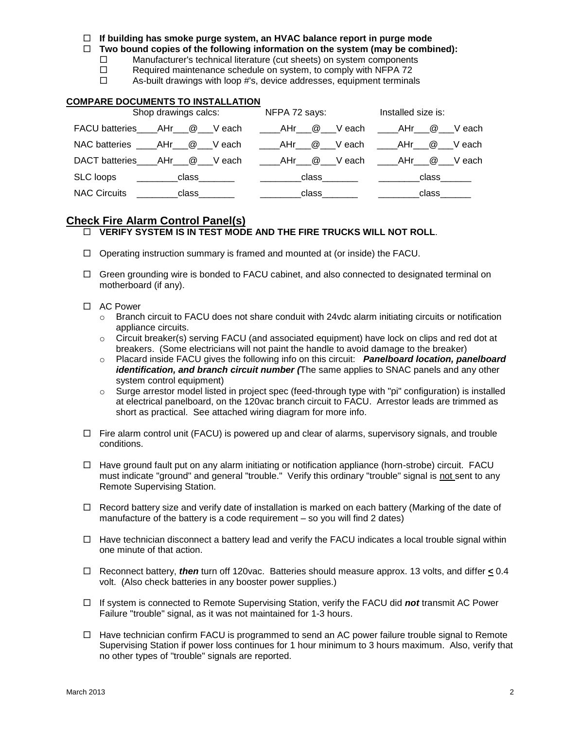#### **If building has smoke purge system, an HVAC balance report in purge mode**

**Two bound copies of the following information on the system (may be combined):**

 $\Box$  Manufacturer's technical literature (cut sheets) on system components

 $\Box$  Required maintenance schedule on system, to comply with NFPA 72

 $\Box$  As-built drawings with loop #'s, device addresses, equipment terminals

# **COMPARE DOCUMENTS TO INSTALLATION**

| Shop drawings calcs:                                                                  | NFPA 72 says:                                                                                                   | Installed size is: |  |
|---------------------------------------------------------------------------------------|-----------------------------------------------------------------------------------------------------------------|--------------------|--|
| FACU batteries AHr @ Veach AHr @ Veach AHr @ VEach                                    |                                                                                                                 |                    |  |
| NAC batteries _____AHr___@____V each ______AHr____@____V each _____AHr____@____V each |                                                                                                                 |                    |  |
| DACT batteries____AHr___@___V each _____AHr___@___V each _____AHr___@___V each        |                                                                                                                 |                    |  |
|                                                                                       |                                                                                                                 | class______        |  |
| <b>NAC Circuits</b><br>class                                                          | class and the class of the control of the control of the control of the control of the control of the control o | class              |  |

# **Check Fire Alarm Control Panel(s)**

# **VERIFY SYSTEM IS IN TEST MODE AND THE FIRE TRUCKS WILL NOT ROLL**.

- $\Box$  Operating instruction summary is framed and mounted at (or inside) the FACU.
- $\Box$  Green grounding wire is bonded to FACU cabinet, and also connected to designated terminal on motherboard (if any).

### □ AC Power

- $\circ$  Branch circuit to FACU does not share conduit with 24 vdc alarm initiating circuits or notification appliance circuits.
- $\circ$  Circuit breaker(s) serving FACU (and associated equipment) have lock on clips and red dot at breakers. (Some electricians will not paint the handle to avoid damage to the breaker)
- o Placard inside FACU gives the following info on this circuit: *Panelboard location, panelboard identification, and branch circuit number (*The same applies to SNAC panels and any other system control equipment)
- o Surge arrestor model listed in project spec (feed-through type with "pi" configuration) is installed at electrical panelboard, on the 120vac branch circuit to FACU. Arrestor leads are trimmed as short as practical. See attached wiring diagram for more info.
- $\Box$  Fire alarm control unit (FACU) is powered up and clear of alarms, supervisory signals, and trouble conditions.
- $\Box$  Have ground fault put on any alarm initiating or notification appliance (horn-strobe) circuit. FACU must indicate "ground" and general "trouble." Verify this ordinary "trouble" signal is not sent to any Remote Supervising Station.
- $\Box$  Record battery size and verify date of installation is marked on each battery (Marking of the date of manufacture of the battery is a code requirement – so you will find 2 dates)
- $\Box$  Have technician disconnect a battery lead and verify the FACU indicates a local trouble signal within one minute of that action.
- Reconnect battery, *then* turn off 120vac. Batteries should measure approx. 13 volts, and differ **<** 0.4 volt. (Also check batteries in any booster power supplies.)
- If system is connected to Remote Supervising Station, verify the FACU did *not* transmit AC Power Failure "trouble" signal, as it was not maintained for 1-3 hours.
- $\Box$  Have technician confirm FACU is programmed to send an AC power failure trouble signal to Remote Supervising Station if power loss continues for 1 hour minimum to 3 hours maximum. Also, verify that no other types of "trouble" signals are reported.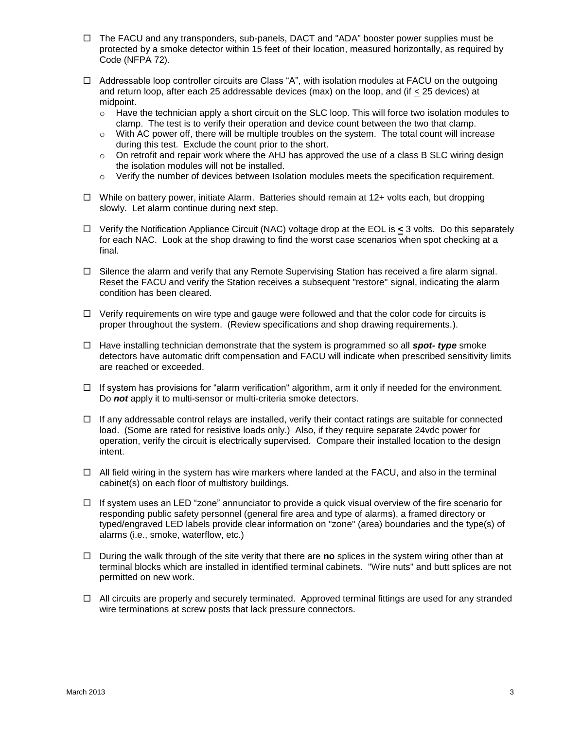- $\Box$  The FACU and any transponders, sub-panels, DACT and "ADA" booster power supplies must be protected by a smoke detector within 15 feet of their location, measured horizontally, as required by Code (NFPA 72).
- □ Addressable loop controller circuits are Class "A", with isolation modules at FACU on the outgoing and return loop, after each 25 addressable devices (max) on the loop, and (if  $\leq$  25 devices) at midpoint.
	- $\circ$  Have the technician apply a short circuit on the SLC loop. This will force two isolation modules to clamp. The test is to verify their operation and device count between the two that clamp.
	- $\circ$  With AC power off, there will be multiple troubles on the system. The total count will increase during this test. Exclude the count prior to the short.
	- $\circ$  On retrofit and repair work where the AHJ has approved the use of a class B SLC wiring design the isolation modules will not be installed.
	- $\circ$  Verify the number of devices between Isolation modules meets the specification requirement.
- $\Box$  While on battery power, initiate Alarm. Batteries should remain at 12+ volts each, but dropping slowly. Let alarm continue during next step.
- Verify the Notification Appliance Circuit (NAC) voltage drop at the EOL is **<** 3 volts. Do this separately for each NAC. Look at the shop drawing to find the worst case scenarios when spot checking at a final.
- $\Box$  Silence the alarm and verify that any Remote Supervising Station has received a fire alarm signal. Reset the FACU and verify the Station receives a subsequent "restore" signal, indicating the alarm condition has been cleared.
- $\Box$  Verify requirements on wire type and gauge were followed and that the color code for circuits is proper throughout the system. (Review specifications and shop drawing requirements.).
- Have installing technician demonstrate that the system is programmed so all *spot- type* smoke detectors have automatic drift compensation and FACU will indicate when prescribed sensitivity limits are reached or exceeded.
- $\Box$  If system has provisions for "alarm verification" algorithm, arm it only if needed for the environment. Do *not* apply it to multi-sensor or multi-criteria smoke detectors.
- $\Box$  If any addressable control relays are installed, verify their contact ratings are suitable for connected load. (Some are rated for resistive loads only.) Also, if they require separate 24vdc power for operation, verify the circuit is electrically supervised. Compare their installed location to the design intent.
- $\Box$  All field wiring in the system has wire markers where landed at the FACU, and also in the terminal cabinet(s) on each floor of multistory buildings.
- $\Box$  If system uses an LED "zone" annunciator to provide a quick visual overview of the fire scenario for responding public safety personnel (general fire area and type of alarms), a framed directory or typed/engraved LED labels provide clear information on "zone" (area) boundaries and the type(s) of alarms (i.e., smoke, waterflow, etc.)
- $\Box$  During the walk through of the site verity that there are **no** splices in the system wiring other than at terminal blocks which are installed in identified terminal cabinets. "Wire nuts" and butt splices are not permitted on new work.
- $\Box$  All circuits are properly and securely terminated. Approved terminal fittings are used for any stranded wire terminations at screw posts that lack pressure connectors.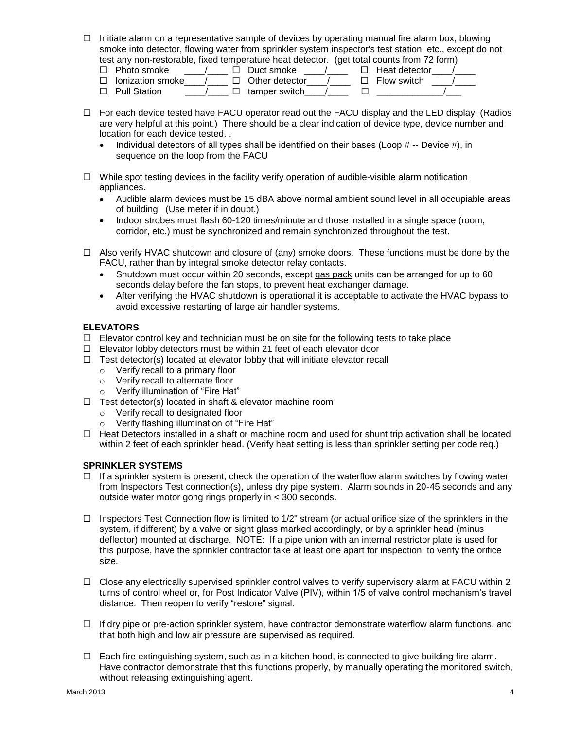$\Box$  Initiate alarm on a representative sample of devices by operating manual fire alarm box, blowing smoke into detector, flowing water from sprinkler system inspector's test station, etc., except do not test any non-restorable, fixed temperature heat detector. (get total counts from 72 form)

| Photo smoke      |  | Duct smoke     | Heat detector      |
|------------------|--|----------------|--------------------|
| lonization smoke |  | Other detector | $\Box$ Flow switch |
| - Pull Station   |  | tamper switch  |                    |

- $\Box$  For each device tested have FACU operator read out the FACU display and the LED display. (Radios are very helpful at this point.) There should be a clear indication of device type, device number and location for each device tested. .
	- Individual detectors of all types shall be identified on their bases (Loop # **--** Device #), in sequence on the loop from the FACU
- $\Box$  While spot testing devices in the facility verify operation of audible-visible alarm notification appliances.
	- Audible alarm devices must be 15 dBA above normal ambient sound level in all occupiable areas of building. (Use meter if in doubt.)
	- Indoor strobes must flash 60-120 times/minute and those installed in a single space (room, corridor, etc.) must be synchronized and remain synchronized throughout the test.
- $\Box$  Also verify HVAC shutdown and closure of (any) smoke doors. These functions must be done by the FACU, rather than by integral smoke detector relay contacts.
	- Shutdown must occur within 20 seconds, except gas pack units can be arranged for up to 60 seconds delay before the fan stops, to prevent heat exchanger damage.
	- After verifying the HVAC shutdown is operational it is acceptable to activate the HVAC bypass to avoid excessive restarting of large air handler systems.

# **ELEVATORS**

- $\Box$  Elevator control key and technician must be on site for the following tests to take place
- $\Box$  Elevator lobby detectors must be within 21 feet of each elevator door
- $\Box$  Test detector(s) located at elevator lobby that will initiate elevator recall
	- o Verify recall to a primary floor
	- o Verify recall to alternate floor
	- o Verify illumination of "Fire Hat"
- $\Box$  Test detector(s) located in shaft & elevator machine room
	- o Verify recall to designated floor
	- o Verify flashing illumination of "Fire Hat"
- $\Box$  Heat Detectors installed in a shaft or machine room and used for shunt trip activation shall be located within 2 feet of each sprinkler head. (Verify heat setting is less than sprinkler setting per code req.)

# **SPRINKLER SYSTEMS**

- $\Box$  If a sprinkler system is present, check the operation of the waterflow alarm switches by flowing water from Inspectors Test connection(s), unless dry pipe system. Alarm sounds in 20-45 seconds and any outside water motor gong rings properly in  $\leq$  300 seconds.
- $\Box$  Inspectors Test Connection flow is limited to 1/2" stream (or actual orifice size of the sprinklers in the system, if different) by a valve or sight glass marked accordingly, or by a sprinkler head (minus deflector) mounted at discharge. NOTE: If a pipe union with an internal restrictor plate is used for this purpose, have the sprinkler contractor take at least one apart for inspection, to verify the orifice size.
- $\Box$  Close any electrically supervised sprinkler control valves to verify supervisory alarm at FACU within 2 turns of control wheel or, for Post Indicator Valve (PIV), within 1/5 of valve control mechanism's travel distance. Then reopen to verify "restore" signal.
- $\Box$  If dry pipe or pre-action sprinkler system, have contractor demonstrate waterflow alarm functions, and that both high and low air pressure are supervised as required.
- $\Box$  Each fire extinguishing system, such as in a kitchen hood, is connected to give building fire alarm. Have contractor demonstrate that this functions properly, by manually operating the monitored switch, without releasing extinguishing agent.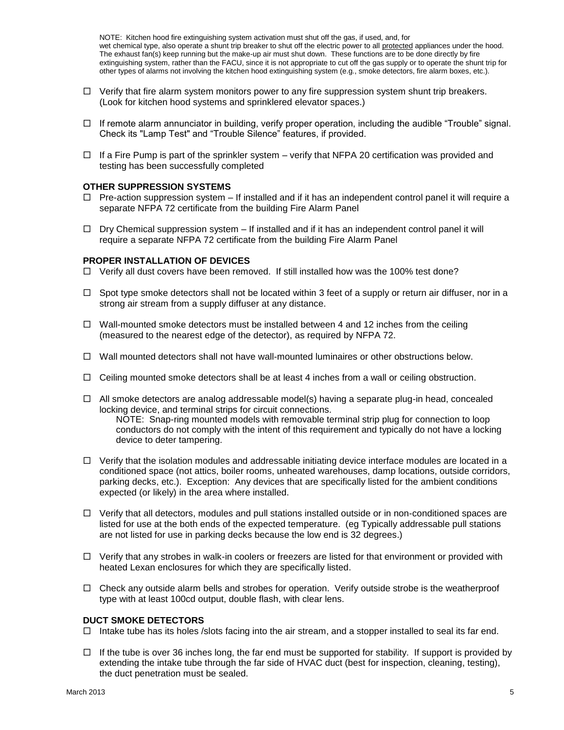NOTE: Kitchen hood fire extinguishing system activation must shut off the gas, if used, and, for wet chemical type, also operate a shunt trip breaker to shut off the electric power to all protected appliances under the hood. The exhaust fan(s) keep running but the make-up air must shut down. These functions are to be done directly by fire extinguishing system, rather than the FACU, since it is not appropriate to cut off the gas supply or to operate the shunt trip for other types of alarms not involving the kitchen hood extinguishing system (e.g., smoke detectors, fire alarm boxes, etc.).

- $\Box$  Verify that fire alarm system monitors power to any fire suppression system shunt trip breakers. (Look for kitchen hood systems and sprinklered elevator spaces.)
- $\Box$  If remote alarm annunciator in building, verify proper operation, including the audible "Trouble" signal. Check its "Lamp Test" and "Trouble Silence" features, if provided.
- $\Box$  If a Fire Pump is part of the sprinkler system verify that NFPA 20 certification was provided and testing has been successfully completed

#### **OTHER SUPPRESSION SYSTEMS**

- $\Box$  Pre-action suppression system If installed and if it has an independent control panel it will require a separate NFPA 72 certificate from the building Fire Alarm Panel
- $\Box$  Dry Chemical suppression system  $-$  If installed and if it has an independent control panel it will require a separate NFPA 72 certificate from the building Fire Alarm Panel

#### **PROPER INSTALLATION OF DEVICES**

- $\Box$  Verify all dust covers have been removed. If still installed how was the 100% test done?
- $\Box$  Spot type smoke detectors shall not be located within 3 feet of a supply or return air diffuser, nor in a strong air stream from a supply diffuser at any distance.
- $\Box$  Wall-mounted smoke detectors must be installed between 4 and 12 inches from the ceiling (measured to the nearest edge of the detector), as required by NFPA 72.
- $\Box$  Wall mounted detectors shall not have wall-mounted luminaires or other obstructions below.
- $\Box$  Ceiling mounted smoke detectors shall be at least 4 inches from a wall or ceiling obstruction.
- $\Box$  All smoke detectors are analog addressable model(s) having a separate plug-in head, concealed locking device, and terminal strips for circuit connections.

NOTE: Snap-ring mounted models with removable terminal strip plug for connection to loop conductors do not comply with the intent of this requirement and typically do not have a locking device to deter tampering.

- $\Box$  Verify that the isolation modules and addressable initiating device interface modules are located in a conditioned space (not attics, boiler rooms, unheated warehouses, damp locations, outside corridors, parking decks, etc.). Exception: Any devices that are specifically listed for the ambient conditions expected (or likely) in the area where installed.
- $\Box$  Verify that all detectors, modules and pull stations installed outside or in non-conditioned spaces are listed for use at the both ends of the expected temperature. (eg Typically addressable pull stations are not listed for use in parking decks because the low end is 32 degrees.)
- $\Box$  Verify that any strobes in walk-in coolers or freezers are listed for that environment or provided with heated Lexan enclosures for which they are specifically listed.
- $\Box$  Check any outside alarm bells and strobes for operation. Verify outside strobe is the weatherproof type with at least 100cd output, double flash, with clear lens.

#### **DUCT SMOKE DETECTORS**

- $\Box$  Intake tube has its holes /slots facing into the air stream, and a stopper installed to seal its far end.
- $\Box$  If the tube is over 36 inches long, the far end must be supported for stability. If support is provided by extending the intake tube through the far side of HVAC duct (best for inspection, cleaning, testing), the duct penetration must be sealed.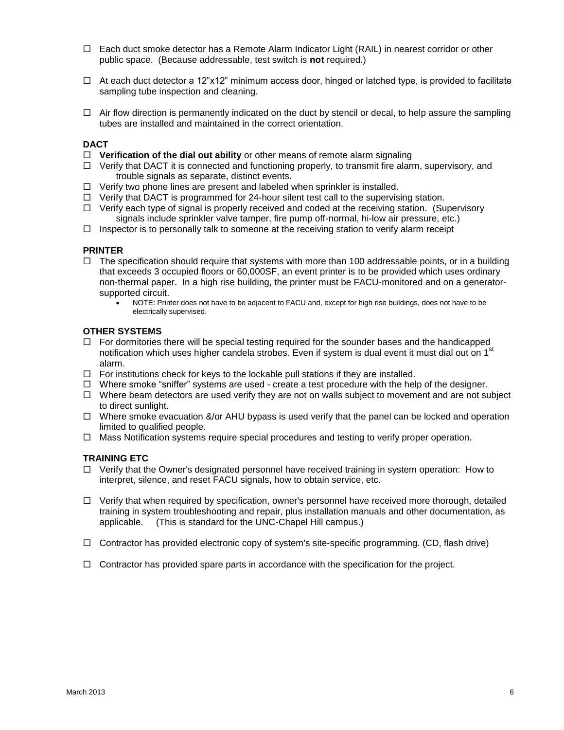- $\Box$  Each duct smoke detector has a Remote Alarm Indicator Light (RAIL) in nearest corridor or other public space. (Because addressable, test switch is **not** required.)
- $\Box$  At each duct detector a 12"x12" minimum access door, hinged or latched type, is provided to facilitate sampling tube inspection and cleaning.
- $\Box$  Air flow direction is permanently indicated on the duct by stencil or decal, to help assure the sampling tubes are installed and maintained in the correct orientation.

#### **DACT**

- **Verification of the dial out ability** or other means of remote alarm signaling
- $\Box$  Verify that DACT it is connected and functioning properly, to transmit fire alarm, supervisory, and trouble signals as separate, distinct events.
- $\Box$  Verify two phone lines are present and labeled when sprinkler is installed.
- $\Box$  Verify that DACT is programmed for 24-hour silent test call to the supervising station.
- $\Box$  Verify each type of signal is properly received and coded at the receiving station. (Supervisory signals include sprinkler valve tamper, fire pump off-normal, hi-low air pressure, etc.)
- $\Box$  Inspector is to personally talk to someone at the receiving station to verify alarm receipt

#### **PRINTER**

- $\Box$  The specification should require that systems with more than 100 addressable points, or in a building that exceeds 3 occupied floors or 60,000SF, an event printer is to be provided which uses ordinary non-thermal paper. In a high rise building, the printer must be FACU-monitored and on a generatorsupported circuit.
	- NOTE: Printer does not have to be adjacent to FACU and, except for high rise buildings, does not have to be electrically supervised.

#### **OTHER SYSTEMS**

- $\Box$  For dormitories there will be special testing required for the sounder bases and the handicapped notification which uses higher candela strobes. Even if system is dual event it must dial out on 1<sup>st</sup> alarm.
- $\Box$  For institutions check for keys to the lockable pull stations if they are installed.
- $\Box$  Where smoke "sniffer" systems are used create a test procedure with the help of the designer.
- $\Box$  Where beam detectors are used verify they are not on walls subject to movement and are not subject to direct sunlight.
- $\Box$  Where smoke evacuation &/or AHU bypass is used verify that the panel can be locked and operation limited to qualified people.
- $\Box$  Mass Notification systems require special procedures and testing to verify proper operation.

#### **TRAINING ETC**

- $\Box$  Verify that the Owner's designated personnel have received training in system operation: How to interpret, silence, and reset FACU signals, how to obtain service, etc.
- $\Box$  Verify that when required by specification, owner's personnel have received more thorough, detailed training in system troubleshooting and repair, plus installation manuals and other documentation, as applicable. (This is standard for the UNC-Chapel Hill campus.)
- $\Box$  Contractor has provided electronic copy of system's site-specific programming. (CD, flash drive)
- $\Box$  Contractor has provided spare parts in accordance with the specification for the project.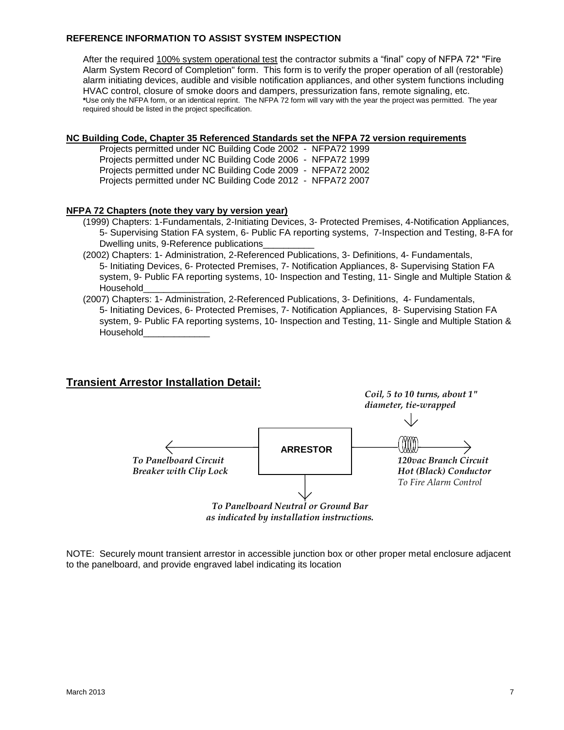### **REFERENCE INFORMATION TO ASSIST SYSTEM INSPECTION**

After the required 100% system operational test the contractor submits a "final" copy of NFPA 72\* "Fire Alarm System Record of Completion" form. This form is to verify the proper operation of all (restorable) alarm initiating devices, audible and visible notification appliances, and other system functions including HVAC control, closure of smoke doors and dampers, pressurization fans, remote signaling, etc. **\***Use only the NFPA form, or an identical reprint. The NFPA 72 form will vary with the year the project was permitted. The year required should be listed in the project specification.

### **NC Building Code, Chapter 35 Referenced Standards set the NFPA 72 version requirements**

Projects permitted under NC Building Code 2002 - NFPA72 1999 Projects permitted under NC Building Code 2006 - NFPA72 1999 Projects permitted under NC Building Code 2009 - NFPA72 2002 Projects permitted under NC Building Code 2012 - NFPA72 2007

### **NFPA 72 Chapters (note they vary by version year)**

- (1999) Chapters: 1-Fundamentals, 2-Initiating Devices, 3- Protected Premises, 4-Notification Appliances, 5- Supervising Station FA system, 6- Public FA reporting systems, 7-Inspection and Testing, 8-FA for Dwelling units, 9-Reference publications\_\_\_\_\_\_\_\_\_\_
- (2002) Chapters: 1- Administration, 2-Referenced Publications, 3- Definitions, 4- Fundamentals, 5- Initiating Devices, 6- Protected Premises, 7- Notification Appliances, 8- Supervising Station FA system, 9- Public FA reporting systems, 10- Inspection and Testing, 11- Single and Multiple Station & Household\_\_\_\_\_\_\_\_\_\_\_\_\_
- (2007) Chapters: 1- Administration, 2-Referenced Publications, 3- Definitions, 4- Fundamentals, 5- Initiating Devices, 6- Protected Premises, 7- Notification Appliances, 8- Supervising Station FA system, 9- Public FA reporting systems, 10- Inspection and Testing, 11- Single and Multiple Station & Household\_\_\_\_\_\_\_\_\_\_\_\_\_

# **Transient Arrestor Installation Detail:**



*as indicated by installation instructions.*

NOTE: Securely mount transient arrestor in accessible junction box or other proper metal enclosure adjacent to the panelboard, and provide engraved label indicating its location